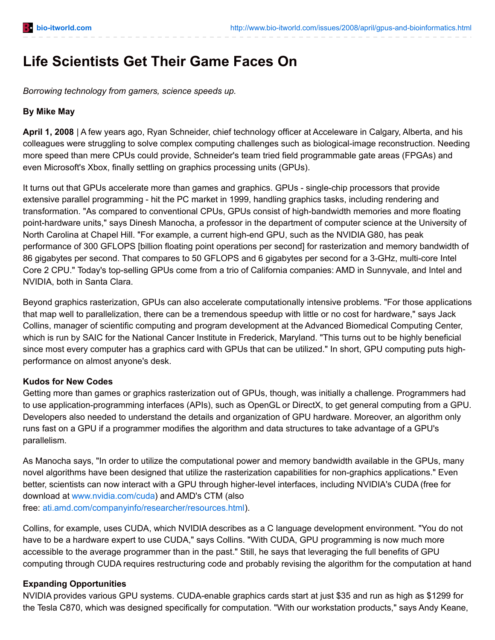# **Life Scientists Get Their Game Faces On**

*Borrowing technology from gamers, science speeds up.*

#### **By Mike May**

**April 1, 2008** | A few years ago, Ryan Schneider, chief technology officer at Acceleware in Calgary, Alberta, and his colleagues were struggling to solve complex computing challenges such as biological-image reconstruction. Needing more speed than mere CPUs could provide, Schneider's team tried field programmable gate areas (FPGAs) and even Microsoft's Xbox, finally settling on graphics processing units (GPUs).

It turns out that GPUs accelerate more than games and graphics. GPUs - single-chip processors that provide extensive parallel programming - hit the PC market in 1999, handling graphics tasks, including rendering and transformation. "As compared to conventional CPUs, GPUs consist of high-bandwidth memories and more floating point-hardware units," says Dinesh Manocha, a professor in the department of computer science at the University of North Carolina at Chapel Hill. "For example, a current high-end GPU, such as the NVIDIA G80, has peak performance of 300 GFLOPS [billion floating point operations per second] for rasterization and memory bandwidth of 86 gigabytes per second. That compares to 50 GFLOPS and 6 gigabytes per second for a 3-GHz, multi-core Intel Core 2 CPU." Today's top-selling GPUs come from a trio of California companies: AMD in Sunnyvale, and Intel and NVIDIA, both in Santa Clara.

Beyond graphics rasterization, GPUs can also accelerate computationally intensive problems. "For those applications that map well to parallelization, there can be a tremendous speedup with little or no cost for hardware," says Jack Collins, manager of scientific computing and program development at the Advanced Biomedical Computing Center, which is run by SAIC for the National Cancer Institute in Frederick, Maryland. "This turns out to be highly beneficial since most every computer has a graphics card with GPUs that can be utilized." In short, GPU computing puts highperformance on almost anyone's desk.

## **Kudos for New Codes**

Getting more than games or graphics rasterization out of GPUs, though, was initially a challenge. Programmers had to use application-programming interfaces (APIs), such as OpenGL or DirectX, to get general computing from a GPU. Developers also needed to understand the details and organization of GPU hardware. Moreover, an algorithm only runs fast on a GPU if a programmer modifies the algorithm and data structures to take advantage of a GPU's parallelism.

As Manocha says, "In order to utilize the computational power and memory bandwidth available in the GPUs, many novel algorithms have been designed that utilize the rasterization capabilities for non-graphics applications." Even better, scientists can now interact with a GPU through higher-level interfaces, including NVIDIA's CUDA (free for download at [www.nvidia.com/cuda](http://www.nvidia.com/cuda)) and AMD's CTM (also free: [ati.amd.com/companyinfo/researcher/resources.html](http://ati.amd.com/companyinfo/researcher/resources.html)).

Collins, for example, uses CUDA, which NVIDIA describes as a C language development environment. "You do not have to be a hardware expert to use CUDA," says Collins. "With CUDA, GPU programming is now much more accessible to the average programmer than in the past." Still, he says that leveraging the full benefits of GPU computing through CUDA requires restructuring code and probably revising the algorithm for the computation at hand.

## **Expanding Opportunities**

NVIDIA provides various GPU systems. CUDA-enable graphics cards start at just \$35 and run as high as \$1299 for the Tesla C870, which was designed specifically for computation. "With our workstation products," says Andy Keane,